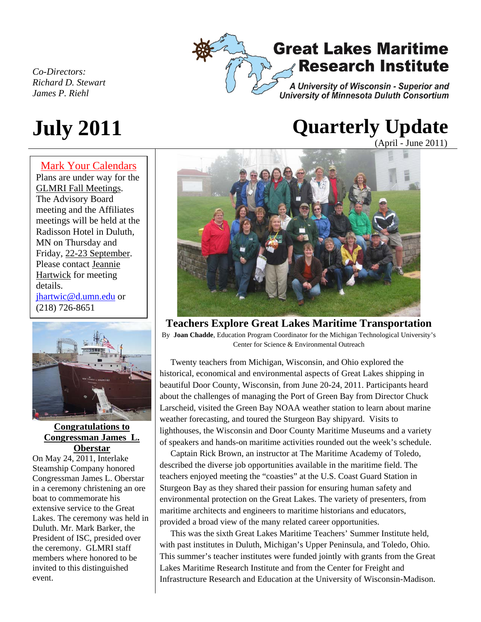*Co-Directors: Richard D. Stewart James P. Riehl* 

#### Mark Your Calendars

Plans are under way for the GLMRI Fall Meetings. The Advisory Board meeting and the Affiliates meetings will be held at the Radisson Hotel in Duluth, MN on Thursday and Friday, 22-23 September. Please contact Jeannie Hartwick for meeting details. jhartwic@d.umn.edu or (218) 726-8651



**Congratulations to Congressman James L. Oberstar**

On May 24, 2011, Interlake Steamship Company honored Congressman James L. Oberstar in a ceremony christening an ore boat to commemorate his extensive service to the Great Lakes. The ceremony was held in Duluth. Mr. Mark Barker, the President of ISC, presided over the ceremony. GLMRI staff members where honored to be invited to this distinguished event.

## **Great Lakes Maritime Research Institute**

A University of Wisconsin - Superior and University of Minnesota Duluth Consortium

# **July 2011 Quarterly Update**

(April - June 2011)



**Teachers Explore Great Lakes Maritime Transportation** 

By **Joan Chadde**, Education Program Coordinator for the Michigan Technological University's Center for Science & Environmental Outreach

 Twenty teachers from Michigan, Wisconsin, and Ohio explored the historical, economical and environmental aspects of Great Lakes shipping in beautiful Door County, Wisconsin, from June 20-24, 2011. Participants heard about the challenges of managing the Port of Green Bay from Director Chuck Larscheid, visited the Green Bay NOAA weather station to learn about marine weather forecasting, and toured the Sturgeon Bay shipyard. Visits to lighthouses, the Wisconsin and Door County Maritime Museums and a variety of speakers and hands-on maritime activities rounded out the week's schedule.

 Captain Rick Brown, an instructor at The Maritime Academy of Toledo, described the diverse job opportunities available in the maritime field. The teachers enjoyed meeting the "coasties" at the U.S. Coast Guard Station in Sturgeon Bay as they shared their passion for ensuring human safety and environmental protection on the Great Lakes. The variety of presenters, from maritime architects and engineers to maritime historians and educators, provided a broad view of the many related career opportunities.

 This was the sixth Great Lakes Maritime Teachers' Summer Institute held, with past institutes in Duluth, Michigan's Upper Peninsula, and Toledo, Ohio. This summer's teacher institutes were funded jointly with grants from the Great Lakes Maritime Research Institute and from the Center for Freight and Infrastructure Research and Education at the University of Wisconsin-Madison.